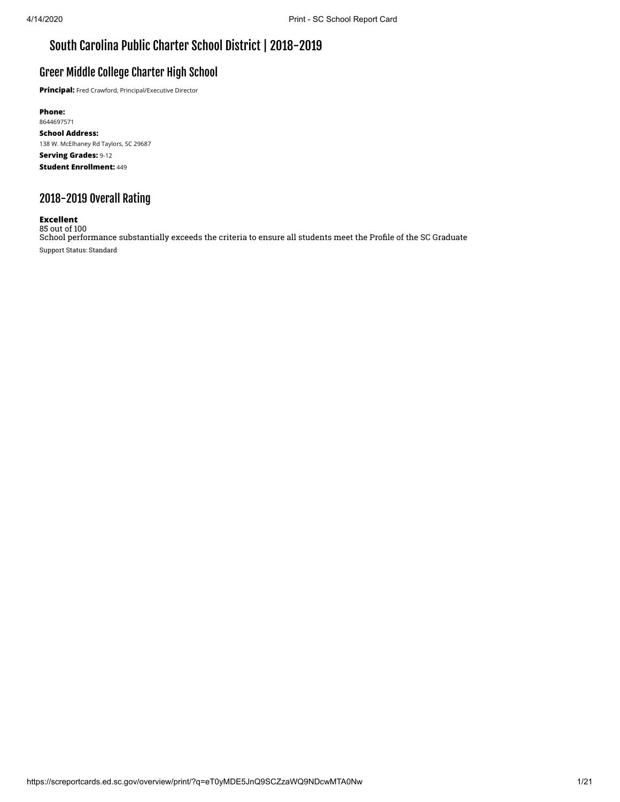# South Carolina Public Charter School District | 2018-2019

## Greer Middle College Charter High School

**Principal:** Fred Crawford, Principal/Executive Director

**Phone:** 8644697571 **School Address:** 138 W. McElhaney Rd Taylors, SC 29687 **Serving Grades:** 9-12 **Student Enrollment:** 449

# 2018-2019 Overall Rating

## **Excellent**

85 out of 100 School performance substantially exceeds the criteria to ensure all students meet the Profile of the SC Graduate Support Status: Standard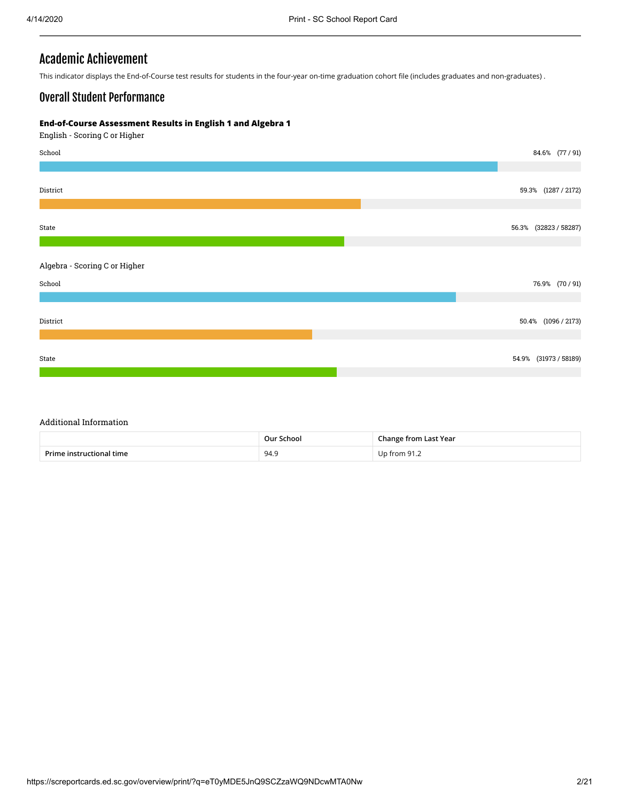## Academic Achievement

This indicator displays the End-of-Course test results for students in the four-year on-time graduation cohort file (includes graduates and non-graduates) .

## Overall Student Performance

### **End-of-Course Assessment Results in English 1 and Algebra 1**

English - Scoring C or Higher



#### Additional Information

|                          | Our School | <b>Change from Last Year</b> |
|--------------------------|------------|------------------------------|
| Prime instructional time | 94.9       | $1$ Jp from 91.2             |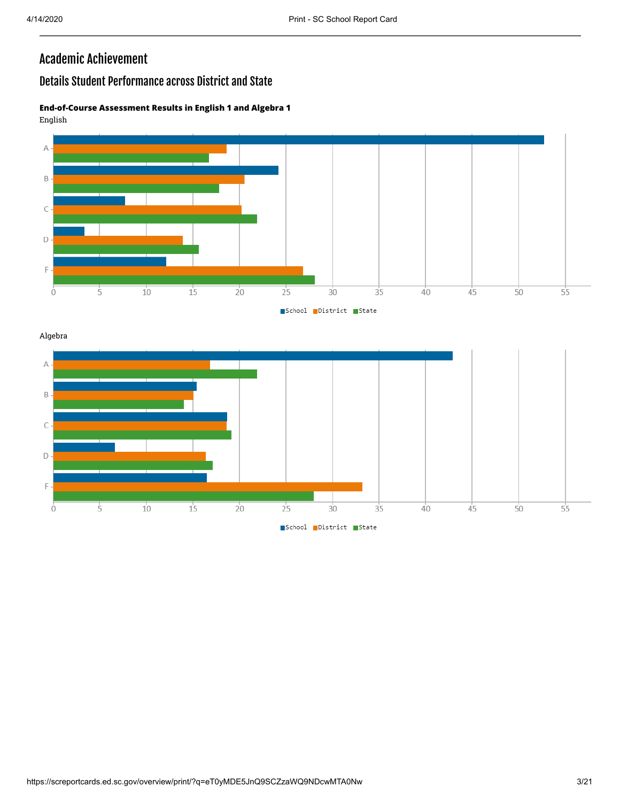# Academic Achievement

# Details Student Performance across District and State

## **End-of-Course Assessment Results in English 1 and Algebra 1** English



Algebra

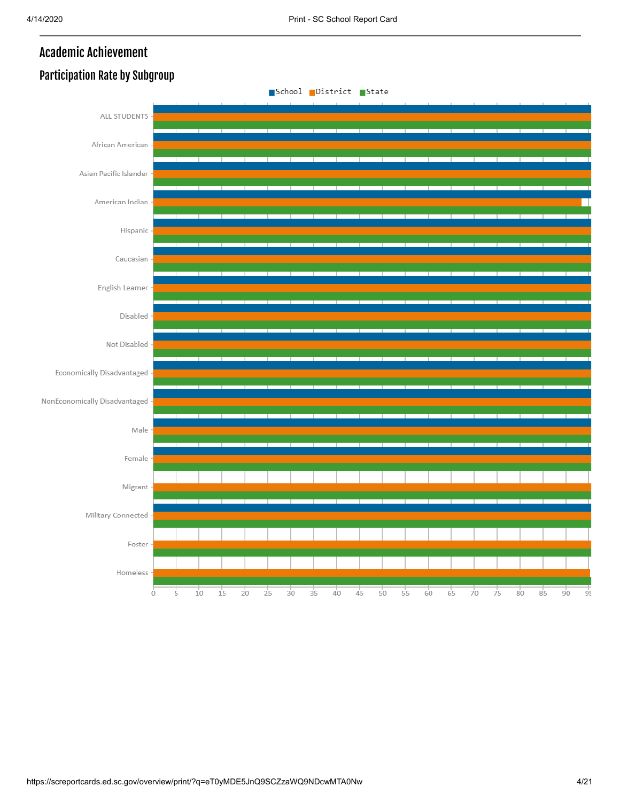# Academic Achievement



# Participation Rate by Subgroup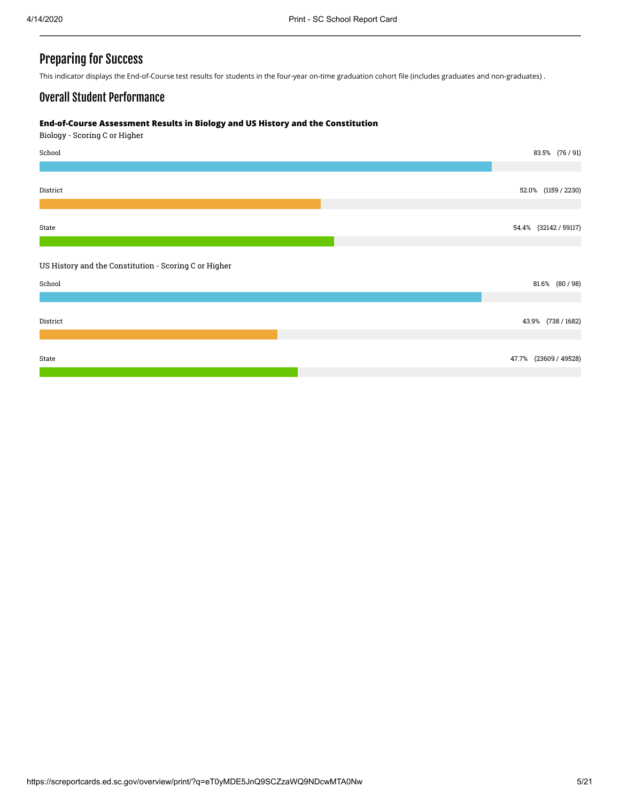## Preparing for Success

This indicator displays the End-of-Course test results for students in the four-year on-time graduation cohort file (includes graduates and non-graduates) .

## Overall Student Performance

#### **End-of-Course Assessment Results in Biology and US History and the Constitution**

Biology - Scoring C or Higher

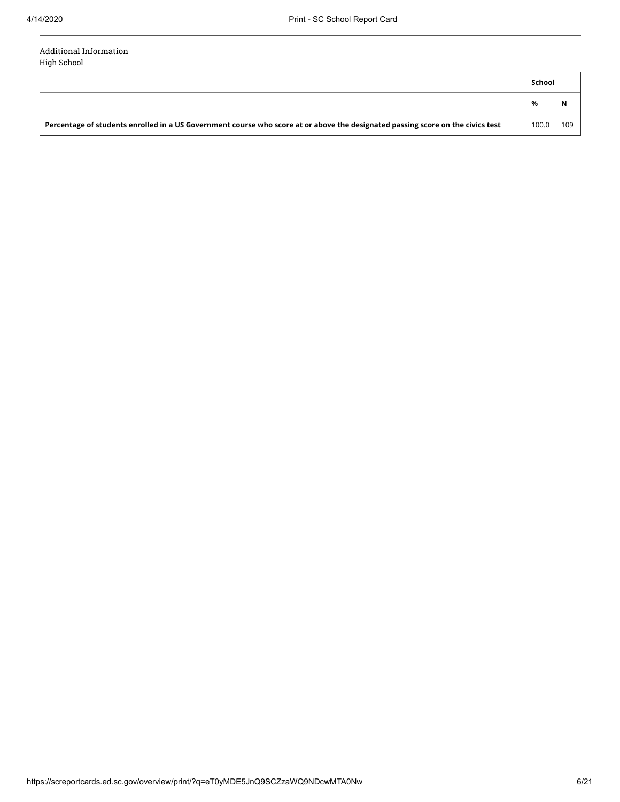### Additional Information High School

**School % N Percentage of students enrolled in a US Government course who score at or above the designated passing score on the civics test** 100.0 109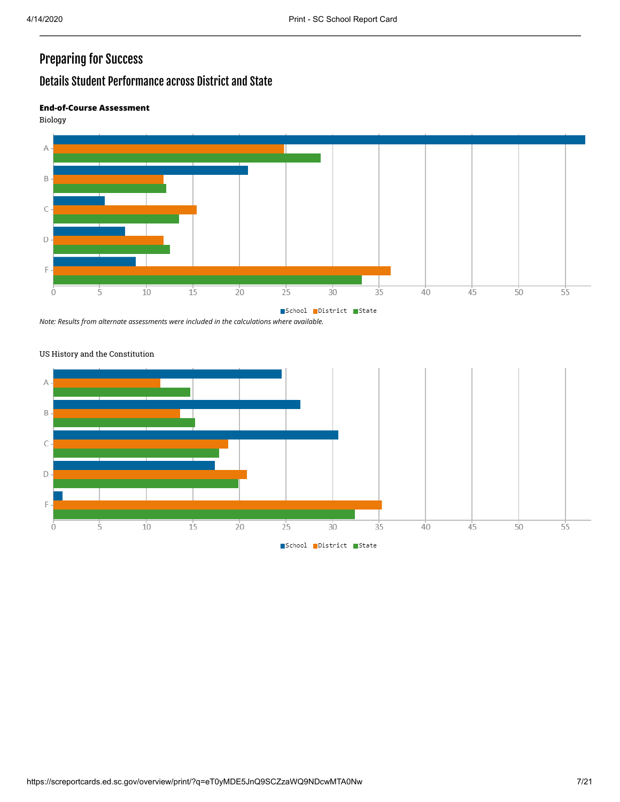# Preparing for Success

# Details Student Performance across District and State

## **End-of-Course Assessment**

Biology



*Note: Results from alternate assessments were included in the calculations where available.*



## US History and the Constitution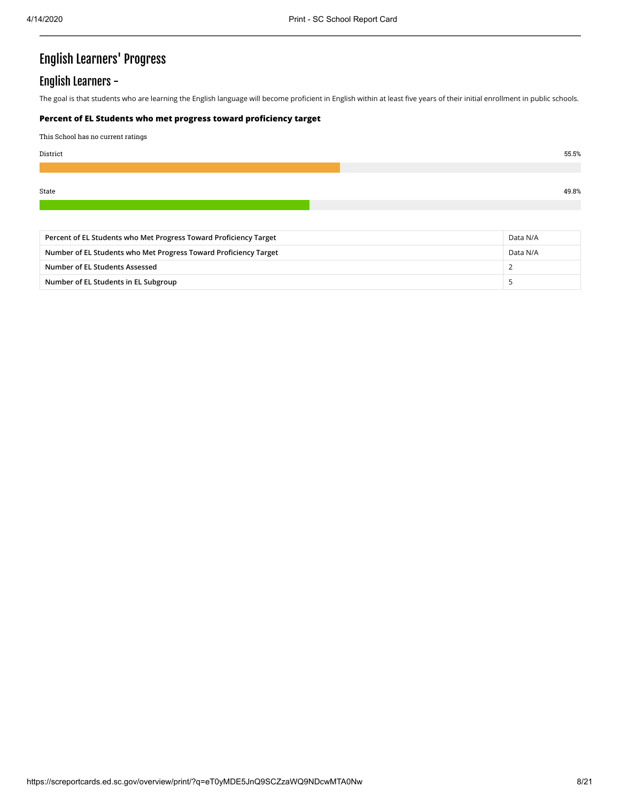# English Learners' Progress

## English Learners -

The goal is that students who are learning the English language will become proficient in English within at least five years of their initial enrollment in public schools.

## **Percent of EL Students who met progress toward proficiency target**

This School has no current ratings

| District | 55.5% |
|----------|-------|
|          |       |
|          |       |
| State    | 49.8% |

| Percent of EL Students who Met Progress Toward Proficiency Target |          |  |  |
|-------------------------------------------------------------------|----------|--|--|
| Number of EL Students who Met Progress Toward Proficiency Target  | Data N/A |  |  |
| Number of EL Students Assessed                                    |          |  |  |
| Number of EL Students in EL Subgroup                              |          |  |  |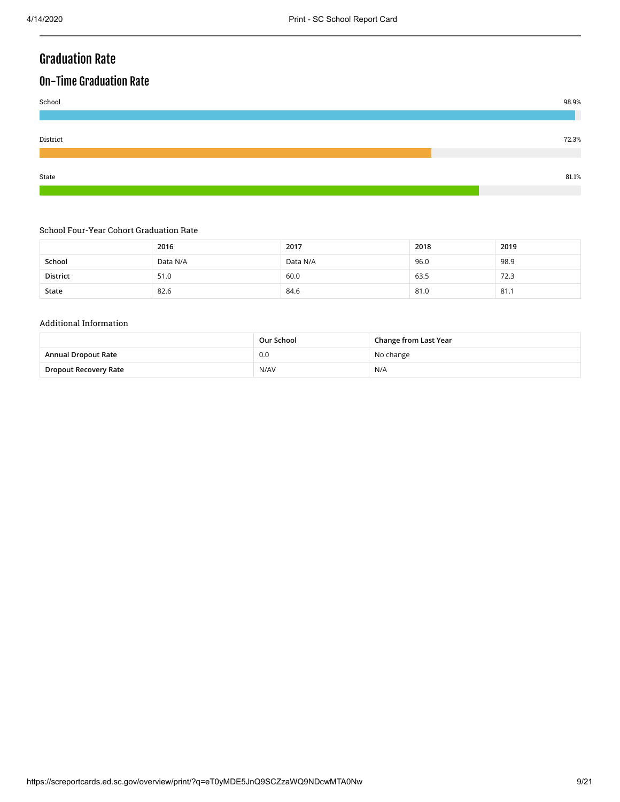# Graduation Rate

# On-Time Graduation Rate



### School Four-Year Cohort Graduation Rate

|                 | 2016     | 2017     | 2018 | 2019 |
|-----------------|----------|----------|------|------|
| School          | Data N/A | Data N/A | 96.0 | 98.9 |
| <b>District</b> | 51.0     | 60.0     | 63.5 | 72.3 |
| State           | 82.6     | 84.6     | 81.0 | 81.1 |

#### Additional Information

|                       | Our School | Change from Last Year |
|-----------------------|------------|-----------------------|
| Annual Dropout Rate   | 0.0        | No change             |
| Dropout Recovery Rate | N/AV       | N/A                   |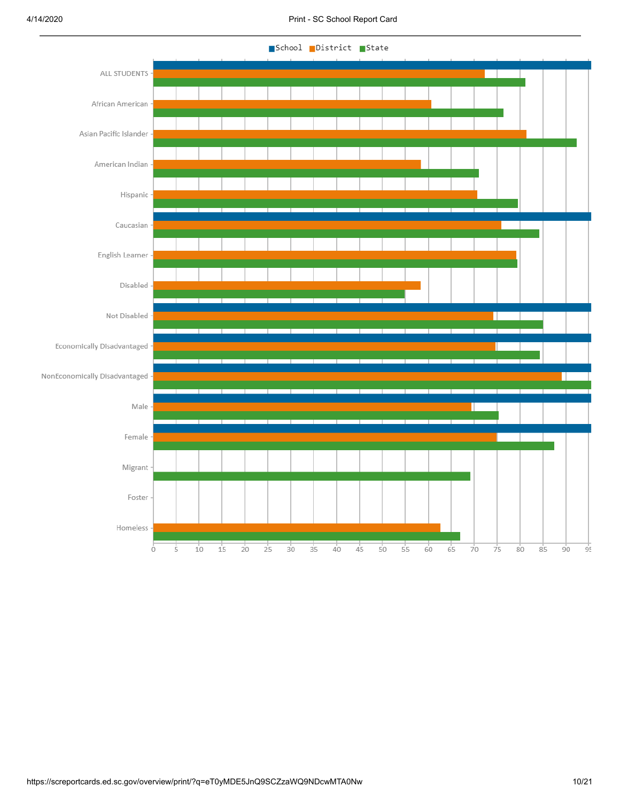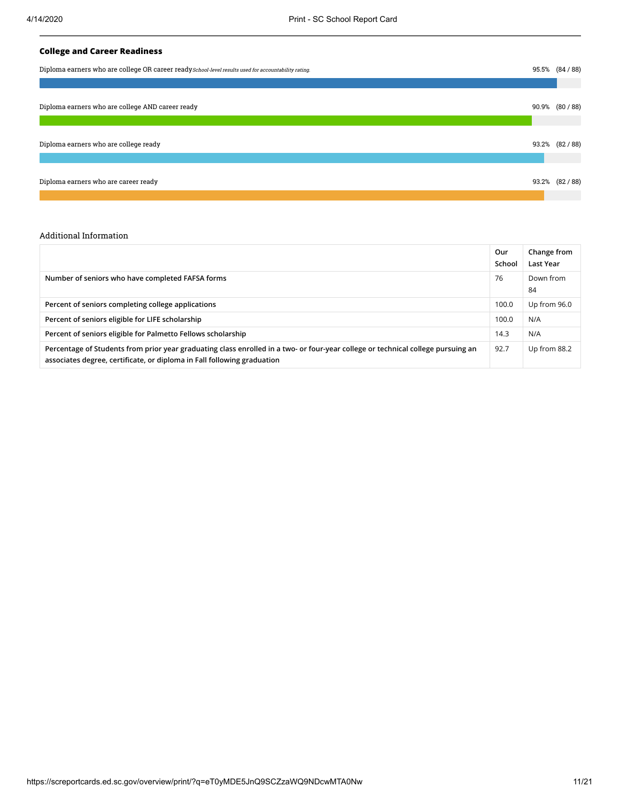## **College and Career Readiness**

| Diploma earners who are college OR career ready School-level results used for accountability rating. |  |                 |  |  |  |
|------------------------------------------------------------------------------------------------------|--|-----------------|--|--|--|
|                                                                                                      |  |                 |  |  |  |
| Diploma earners who are college AND career ready                                                     |  | 90.9% (80 / 88) |  |  |  |
| Diploma earners who are college ready                                                                |  | 93.2% (82/88)   |  |  |  |
| Diploma earners who are career ready                                                                 |  | 93.2% (82/88)   |  |  |  |

#### Additional Information

|                                                                                                                                                                                                             | Our<br>School | Change from<br>Last Year |
|-------------------------------------------------------------------------------------------------------------------------------------------------------------------------------------------------------------|---------------|--------------------------|
| Number of seniors who have completed FAFSA forms                                                                                                                                                            | 76            | Down from<br>84          |
| Percent of seniors completing college applications                                                                                                                                                          | 100.0         | Up from 96.0             |
| Percent of seniors eligible for LIFE scholarship                                                                                                                                                            | 100.0         | N/A                      |
| Percent of seniors eligible for Palmetto Fellows scholarship                                                                                                                                                | 14.3          | N/A                      |
| Percentage of Students from prior year graduating class enrolled in a two- or four-year college or technical college pursuing an<br>associates degree, certificate, or diploma in Fall following graduation | 92.7          | Up from 88.2             |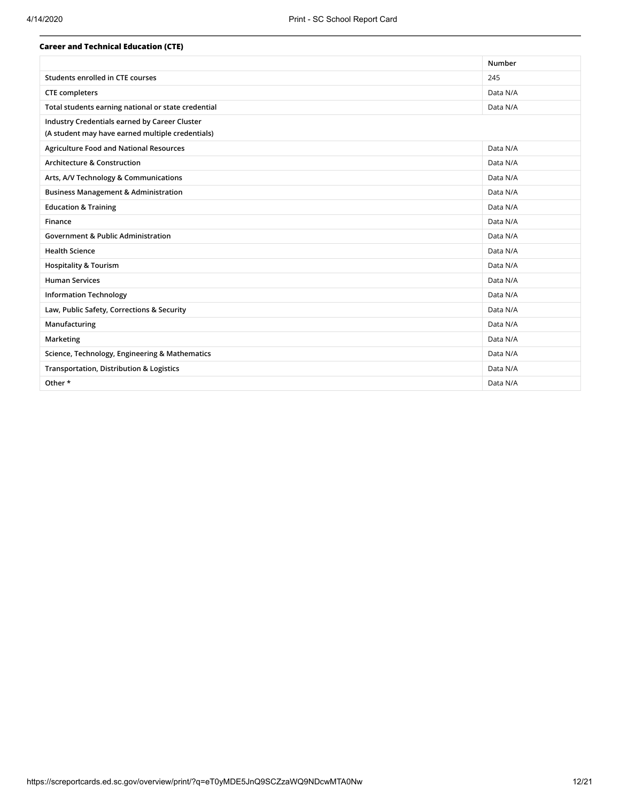| <b>Career and Technical Education (CTE)</b>         |          |
|-----------------------------------------------------|----------|
|                                                     | Number   |
| Students enrolled in CTE courses                    | 245      |
| <b>CTE</b> completers                               | Data N/A |
| Total students earning national or state credential | Data N/A |
| Industry Credentials earned by Career Cluster       |          |
| (A student may have earned multiple credentials)    |          |
| <b>Agriculture Food and National Resources</b>      | Data N/A |
| <b>Architecture &amp; Construction</b>              | Data N/A |
| Arts, A/V Technology & Communications               | Data N/A |
| <b>Business Management &amp; Administration</b>     | Data N/A |
| <b>Education &amp; Training</b>                     | Data N/A |
| Finance                                             | Data N/A |
| <b>Government &amp; Public Administration</b>       | Data N/A |
| <b>Health Science</b>                               | Data N/A |
| <b>Hospitality &amp; Tourism</b>                    | Data N/A |
| <b>Human Services</b>                               | Data N/A |
| <b>Information Technology</b>                       | Data N/A |
| Law, Public Safety, Corrections & Security          | Data N/A |
| Manufacturing                                       | Data N/A |
| Marketing                                           | Data N/A |
| Science, Technology, Engineering & Mathematics      | Data N/A |
| <b>Transportation, Distribution &amp; Logistics</b> | Data N/A |
| Other *                                             | Data N/A |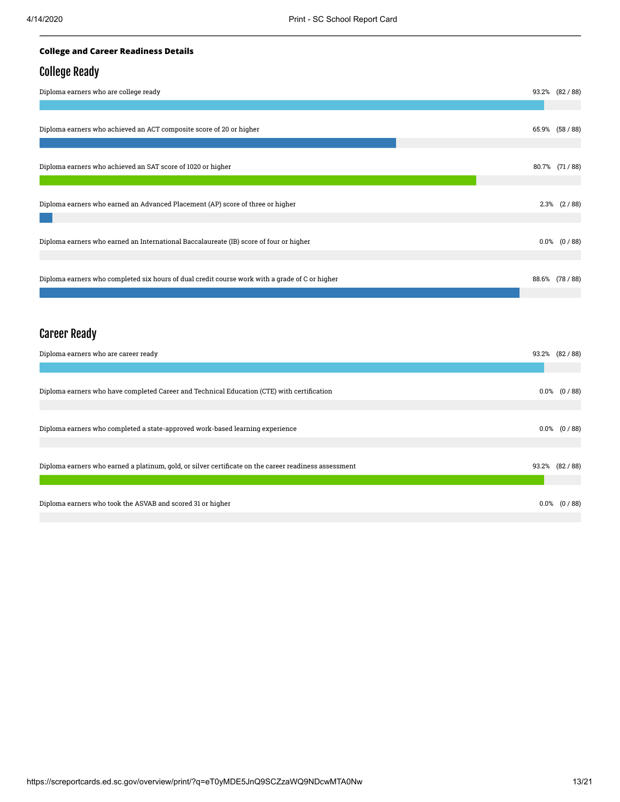## **College and Career Readiness Details**

## College Ready

| Diploma earners who are college ready                                                          | 93.2% (82/88)    |
|------------------------------------------------------------------------------------------------|------------------|
|                                                                                                |                  |
| Diploma earners who achieved an ACT composite score of 20 or higher                            | 65.9% (58 / 88)  |
|                                                                                                |                  |
| Diploma earners who achieved an SAT score of 1020 or higher                                    | 80.7% (71/88)    |
|                                                                                                |                  |
| Diploma earners who earned an Advanced Placement (AP) score of three or higher                 | $2.3\%$ $(2/88)$ |
|                                                                                                |                  |
| Diploma earners who earned an International Baccalaureate (IB) score of four or higher         | $0.0\%$ $(0/88)$ |
|                                                                                                |                  |
| Diploma earners who completed six hours of dual credit course work with a grade of C or higher | 88.6% (78 / 88)  |
|                                                                                                |                  |

# Career Ready

| Diploma earners who are career ready                                                                  |         | 93.2% (82/88)    |
|-------------------------------------------------------------------------------------------------------|---------|------------------|
|                                                                                                       |         |                  |
| Diploma earners who have completed Career and Technical Education (CTE) with certification            |         | $0.0\%$ $(0/88)$ |
| Diploma earners who completed a state-approved work-based learning experience                         |         | $0.0\%$ $(0/88)$ |
| Diploma earners who earned a platinum, gold, or silver certificate on the career readiness assessment |         | 93.2% (82/88)    |
| Diploma earners who took the ASVAB and scored 31 or higher                                            | $0.0\%$ | (0/88)           |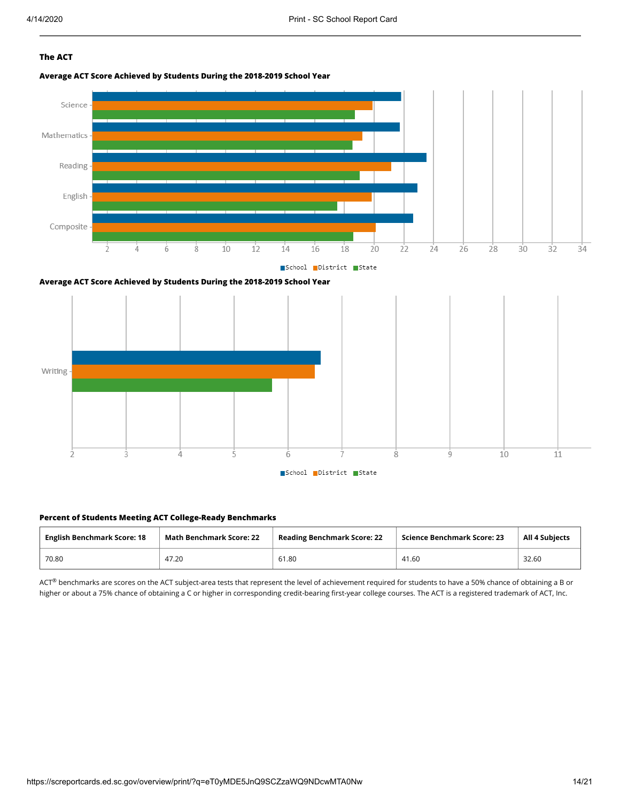## **The ACT**









#### **Percent of Students Meeting ACT College-Ready Benchmarks**

| <b>English Benchmark Score: 18</b> | <b>Math Benchmark Score: 22</b> | <b>Reading Benchmark Score: 22</b> | Science Benchmark Score: 23 | <b>All 4 Subjects</b> |  |
|------------------------------------|---------------------------------|------------------------------------|-----------------------------|-----------------------|--|
| 70.80                              | 47.20                           | 61.80                              | 41.60                       | 32.60                 |  |

 $ACT^{\circledast}$  benchmarks are scores on the ACT subject-area tests that represent the level of achievement required for students to have a 50% chance of obtaining a B or higher or about a 75% chance of obtaining a C or higher in corresponding credit-bearing first-year college courses. The ACT is a registered trademark of ACT, Inc.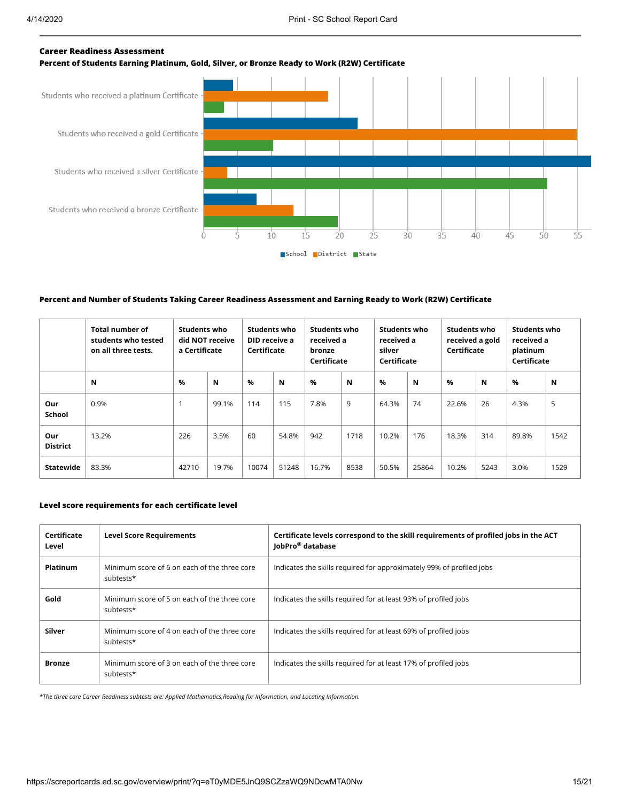### **Career Readiness Assessment**





#### **Percent and Number of Students Taking Career Readiness Assessment and Earning Ready to Work (R2W) Certificate**

|                        | <b>Total number of</b><br>students who tested<br>on all three tests. | <b>Students who</b><br>did NOT receive<br>a Certificate |       |               | <b>Students who</b><br>DID receive a<br>Certificate |       | <b>Students who</b><br>Students who<br>Students who<br>received a<br>received a gold<br>received a<br>Certificate<br>platinum<br>silver<br>Certificate<br>Certificate |       | <b>Students who</b><br>received a<br>bronze<br>Certificate |       |      |       |      |
|------------------------|----------------------------------------------------------------------|---------------------------------------------------------|-------|---------------|-----------------------------------------------------|-------|-----------------------------------------------------------------------------------------------------------------------------------------------------------------------|-------|------------------------------------------------------------|-------|------|-------|------|
|                        | N                                                                    | $\frac{9}{6}$                                           | N     | $\frac{9}{6}$ | N                                                   | $\%$  | N                                                                                                                                                                     | $\%$  | N                                                          | $\%$  | N    | %     | N    |
| Our<br><b>School</b>   | 0.9%                                                                 |                                                         | 99.1% | 114           | 115                                                 | 7.8%  | 9                                                                                                                                                                     | 64.3% | 74                                                         | 22.6% | 26   | 4.3%  | 5    |
| Our<br><b>District</b> | 13.2%                                                                | 226                                                     | 3.5%  | 60            | 54.8%                                               | 942   | 1718                                                                                                                                                                  | 10.2% | 176                                                        | 18.3% | 314  | 89.8% | 1542 |
| <b>Statewide</b>       | 83.3%                                                                | 42710                                                   | 19.7% | 10074         | 51248                                               | 16.7% | 8538                                                                                                                                                                  | 50.5% | 25864                                                      | 10.2% | 5243 | 3.0%  | 1529 |

#### **Level score requirements for each certificate level**

| Certificate<br>Level | <b>Level Score Requirements</b>                           | Certificate levels correspond to the skill requirements of profiled jobs in the ACT<br>JobPro <sup>®</sup> database |
|----------------------|-----------------------------------------------------------|---------------------------------------------------------------------------------------------------------------------|
| <b>Platinum</b>      | Minimum score of 6 on each of the three core<br>subtests* | Indicates the skills required for approximately 99% of profiled jobs                                                |
| Gold                 | Minimum score of 5 on each of the three core<br>subtests* | Indicates the skills required for at least 93% of profiled jobs                                                     |
| Silver               | Minimum score of 4 on each of the three core<br>subtests* | Indicates the skills required for at least 69% of profiled jobs                                                     |
| <b>Bronze</b>        | Minimum score of 3 on each of the three core<br>subtests* | Indicates the skills required for at least 17% of profiled jobs                                                     |

*\*The three core Career Readiness subtests are: Applied Mathematics,Reading for Information, and Locating Information.*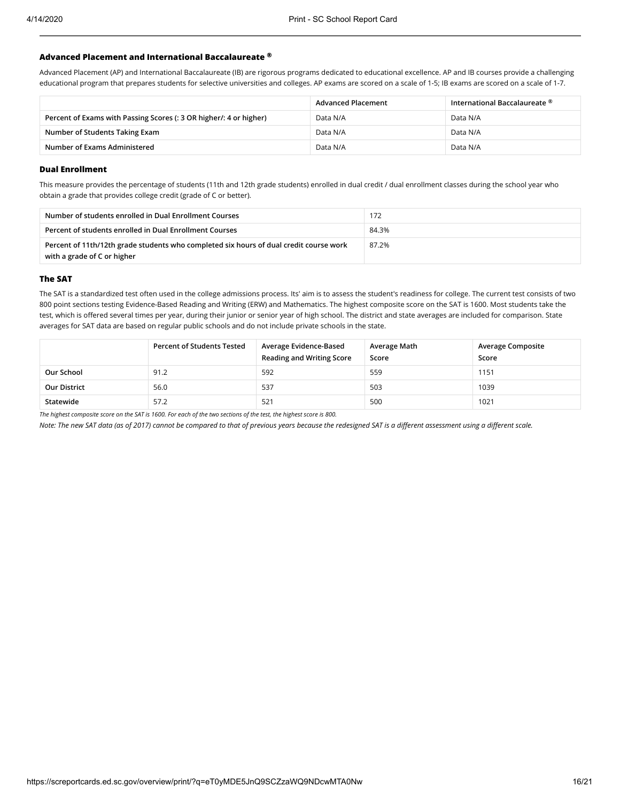#### **Advanced Placement and International Baccalaureate ®**

Advanced Placement (AP) and International Baccalaureate (IB) are rigorous programs dedicated to educational excellence. AP and IB courses provide a challenging educational program that prepares students for selective universities and colleges. AP exams are scored on a scale of 1-5; IB exams are scored on a scale of 1-7.

|                                                                    | <b>Advanced Placement</b> | International Baccalaureate ® |
|--------------------------------------------------------------------|---------------------------|-------------------------------|
| Percent of Exams with Passing Scores (: 3 OR higher/: 4 or higher) | Data N/A                  | Data N/A                      |
| Number of Students Taking Exam                                     | Data N/A                  | Data N/A                      |
| Number of Exams Administered                                       | Data N/A                  | Data N/A                      |

#### **Dual Enrollment**

This measure provides the percentage of students (11th and 12th grade students) enrolled in dual credit / dual enrollment classes during the school year who obtain a grade that provides college credit (grade of C or better).

| Number of students enrolled in Dual Enrollment Courses                                                                | 172   |
|-----------------------------------------------------------------------------------------------------------------------|-------|
| Percent of students enrolled in Dual Enrollment Courses                                                               | 84.3% |
| Percent of 11th/12th grade students who completed six hours of dual credit course work<br>with a grade of C or higher | 87.2% |

### **The SAT**

The SAT is a standardized test often used in the college admissions process. Its' aim is to assess the student's readiness for college. The current test consists of two 800 point sections testing Evidence-Based Reading and Writing (ERW) and Mathematics. The highest composite score on the SAT is 1600. Most students take the test, which is offered several times per year, during their junior or senior year of high school. The district and state averages are included for comparison. State averages for SAT data are based on regular public schools and do not include private schools in the state.

|                     | <b>Percent of Students Tested</b> | Average Evidence-Based<br><b>Reading and Writing Score</b> | Average Math<br>Score | <b>Average Composite</b><br>Score |
|---------------------|-----------------------------------|------------------------------------------------------------|-----------------------|-----------------------------------|
| Our School          | 91.2                              | 592                                                        | 559                   | 1151                              |
| <b>Our District</b> | 56.0                              | 537                                                        | 503                   | 1039                              |
| Statewide           | 57.2                              | 521                                                        | 500                   | 1021                              |

*The highest composite score on the SAT is 1600. For each of the two sections of the test, the highest score is 800.*

*Note: The new SAT data (as of 2017) cannot be compared to that of previous years because the redesigned SAT is a different assessment using a different scale.*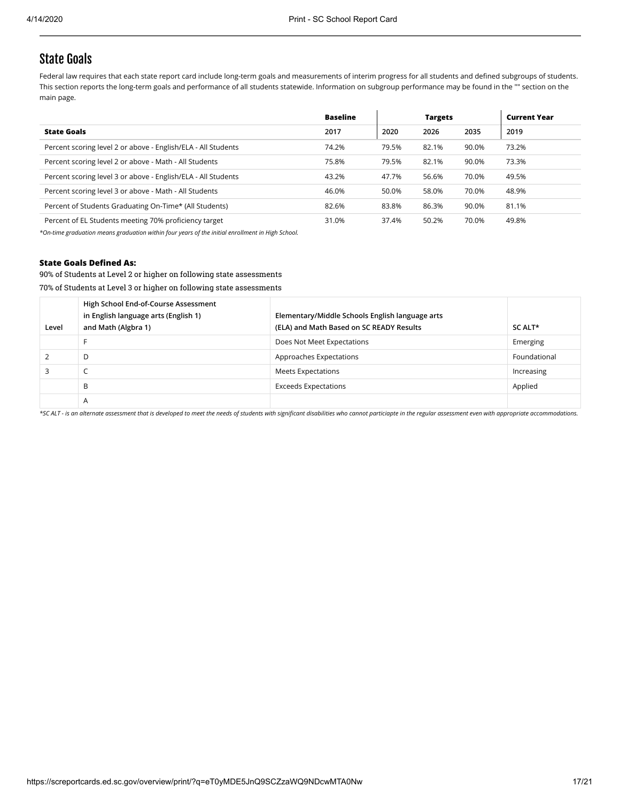## State Goals

Federal law requires that each state report card include long-term goals and measurements of interim progress for all students and defined subgroups of students. This section reports the long-term goals and performance of all students statewide. Information on subgroup performance may be found in the "" section on the main page.

|                                                               | <b>Baseline</b> |       | <b>Targets</b> |       | <b>Current Year</b> |
|---------------------------------------------------------------|-----------------|-------|----------------|-------|---------------------|
| <b>State Goals</b>                                            | 2017            | 2020  | 2026           | 2035  | 2019                |
| Percent scoring level 2 or above - English/ELA - All Students | 74.2%           | 79.5% | 82.1%          | 90.0% | 73.2%               |
| Percent scoring level 2 or above - Math - All Students        | 75.8%           | 79.5% | 82.1%          | 90.0% | 73.3%               |
| Percent scoring level 3 or above - English/ELA - All Students | 43.2%           | 47.7% | 56.6%          | 70.0% | 49.5%               |
| Percent scoring level 3 or above - Math - All Students        | 46.0%           | 50.0% | 58.0%          | 70.0% | 48.9%               |
| Percent of Students Graduating On-Time* (All Students)        | 82.6%           | 83.8% | 86.3%          | 90.0% | 81.1%               |
| Percent of EL Students meeting 70% proficiency target         | 31.0%           | 37.4% | 50.2%          | 70.0% | 49.8%               |

*\*On-time graduation means graduation within four years of the initial enrollment in High School.*

### **State Goals Defined As:**

90% of Students at Level 2 or higher on following state assessments

70% of Students at Level 3 or higher on following state assessments

| Level | High School End-of-Course Assessment<br>in English language arts (English 1)<br>and Math (Algbra 1) | Elementary/Middle Schools English language arts<br>(ELA) and Math Based on SC READY Results | SC ALT*      |
|-------|-----------------------------------------------------------------------------------------------------|---------------------------------------------------------------------------------------------|--------------|
|       |                                                                                                     | Does Not Meet Expectations                                                                  | Emerging     |
|       | D                                                                                                   | Approaches Expectations                                                                     | Foundational |
|       | ╰                                                                                                   | Meets Expectations                                                                          | Increasing   |
|       | B                                                                                                   | <b>Exceeds Expectations</b>                                                                 | Applied      |
|       | Α                                                                                                   |                                                                                             |              |

*\*SC ALT - is an alternate assessment that is developed to meet the needs of students with significant disabilities who cannot particiapte in the regular assessment even with appropriate accommodations.*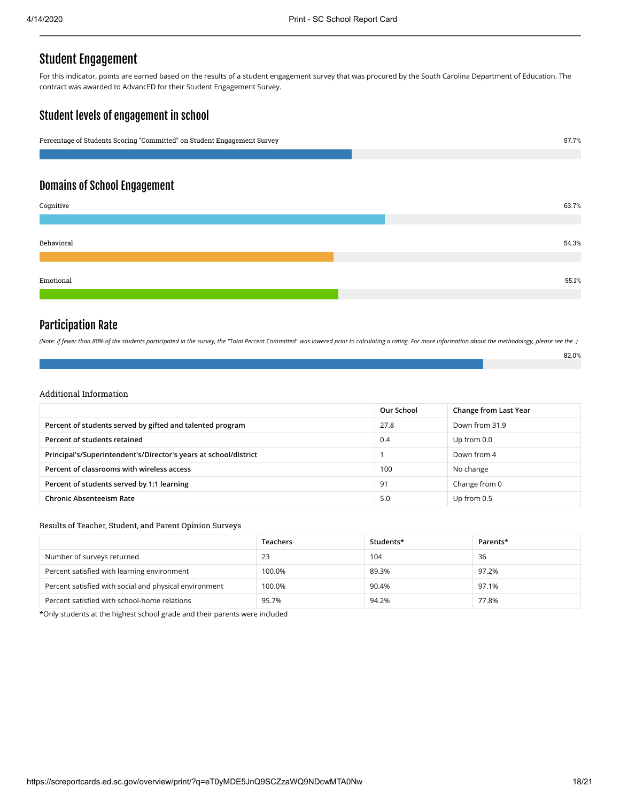# Student Engagement

For this indicator, points are earned based on the results of a student engagement survey that was procured by the South Carolina Department of Education. The contract was awarded to AdvancED for their Student Engagement Survey.

## Student levels of engagement in school



## Domains of School Engagement

| Cognitive  | 63.7% |
|------------|-------|
|            |       |
| Behavioral | 54.3% |
|            |       |
| Emotional  | 55.1% |
|            |       |

## Participation Rate

*(Note: if fewer than 80% of the students participated in the survey, the "Total Percent Committed" was lowered prior to calculating a rating. For more information about the methodology, please see the .)*

| ٠ |  |
|---|--|
|   |  |

## Additional Information

|                                                                  | Our School | Change from Last Year |
|------------------------------------------------------------------|------------|-----------------------|
| Percent of students served by gifted and talented program        | 27.8       | Down from 31.9        |
| Percent of students retained                                     | 0.4        | Up from 0.0           |
| Principal's/Superintendent's/Director's years at school/district |            | Down from 4           |
| Percent of classrooms with wireless access                       | 100        | No change             |
| Percent of students served by 1:1 learning                       | 91         | Change from 0         |
| <b>Chronic Absenteeism Rate</b>                                  | 5.0        | Up from 0.5           |

#### Results of Teacher, Student, and Parent Opinion Surveys

|                                                        | <b>Teachers</b> | Students* | Parents* |
|--------------------------------------------------------|-----------------|-----------|----------|
| Number of surveys returned                             | 23              | 104       | 36       |
| Percent satisfied with learning environment            | 100.0%          | 89.3%     | 97.2%    |
| Percent satisfied with social and physical environment | 100.0%          | 90.4%     | 97.1%    |
| Percent satisfied with school-home relations           | 95.7%           | 94.2%     | 77.8%    |

\*Only students at the highest school grade and their parents were included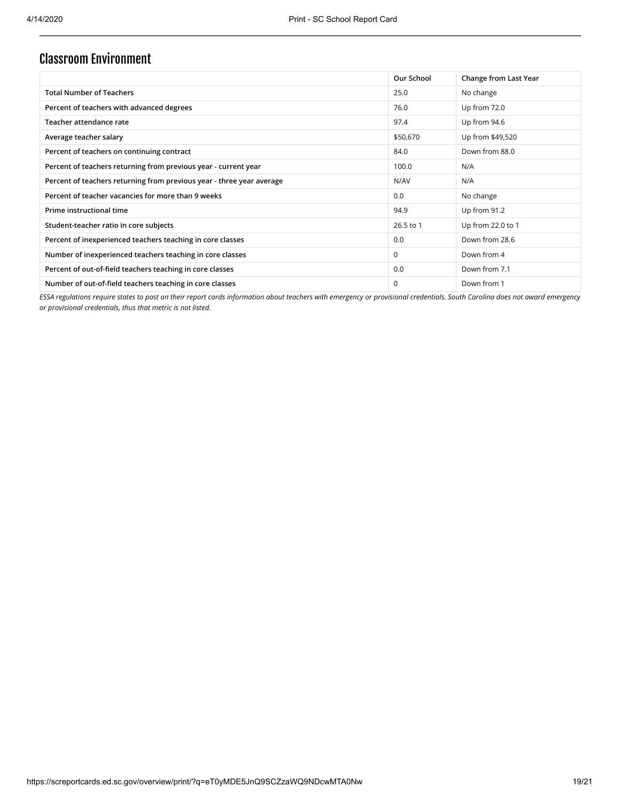# Classroom Environment

|                                                                       | Our School  | Change from Last Year |
|-----------------------------------------------------------------------|-------------|-----------------------|
| <b>Total Number of Teachers</b>                                       | 25.0        | No change             |
| Percent of teachers with advanced degrees                             | 76.0        | Up from 72.0          |
| Teacher attendance rate                                               | 97.4        | Up from 94.6          |
| Average teacher salary                                                | \$50,670    | Up from \$49,520      |
| Percent of teachers on continuing contract                            | 84.0        | Down from 88.0        |
| Percent of teachers returning from previous year - current year       | 100.0       | N/A                   |
| Percent of teachers returning from previous year - three year average | N/AV        | N/A                   |
| Percent of teacher vacancies for more than 9 weeks                    | 0.0         | No change             |
| Prime instructional time                                              | 94.9        | Up from 91.2          |
| Student-teacher ratio in core subjects                                | 26.5 to 1   | Up from 22.0 to 1     |
| Percent of inexperienced teachers teaching in core classes            | 0.0         | Down from 28.6        |
| Number of inexperienced teachers teaching in core classes             | $\mathbf 0$ | Down from 4           |
| Percent of out-of-field teachers teaching in core classes             | 0.0         | Down from 7.1         |
| Number of out-of-field teachers teaching in core classes              | $\Omega$    | Down from 1           |

*ESSA regulations require states to post on their report cards information about teachers with emergency or provisional credentials. South Carolina does not award emergency or provisional credentials, thus that metric is not listed.*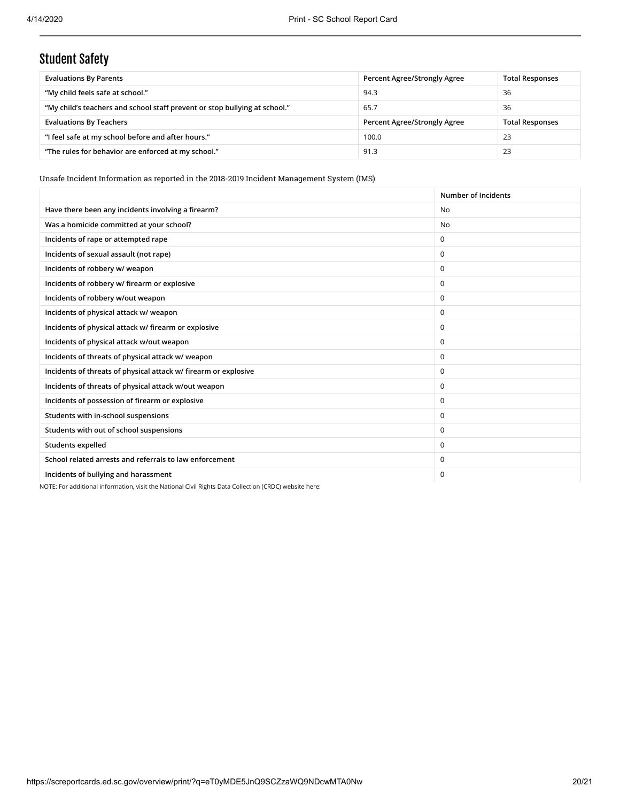# Student Safety

| <b>Evaluations By Parents</b>                                              | Percent Agree/Strongly Agree | <b>Total Responses</b> |
|----------------------------------------------------------------------------|------------------------------|------------------------|
| "My child feels safe at school."                                           | 94.3                         | 36                     |
| "My child's teachers and school staff prevent or stop bullying at school." | 65.7                         | 36                     |
| <b>Evaluations By Teachers</b>                                             | Percent Agree/Strongly Agree | <b>Total Responses</b> |
| "I feel safe at my school before and after hours."                         | 100.0                        | 23                     |
| "The rules for behavior are enforced at my school."                        | 91.3                         | 23                     |

Unsafe Incident Information as reported in the 2018-2019 Incident Management System (IMS)

|                                                                 | Number of Incidents |
|-----------------------------------------------------------------|---------------------|
| Have there been any incidents involving a firearm?              | <b>No</b>           |
| Was a homicide committed at your school?                        | <b>No</b>           |
| Incidents of rape or attempted rape                             | $\Omega$            |
| Incidents of sexual assault (not rape)                          | $\Omega$            |
| Incidents of robbery w/ weapon                                  | $\mathbf 0$         |
| Incidents of robbery w/ firearm or explosive                    | $\mathbf 0$         |
| Incidents of robbery w/out weapon                               | $\mathbf 0$         |
| Incidents of physical attack w/ weapon                          | $\mathbf 0$         |
| Incidents of physical attack w/ firearm or explosive            | $\Omega$            |
| Incidents of physical attack w/out weapon                       | $\mathbf 0$         |
| Incidents of threats of physical attack w/ weapon               | $\Omega$            |
| Incidents of threats of physical attack w/ firearm or explosive | $\mathbf 0$         |
| Incidents of threats of physical attack w/out weapon            | $\Omega$            |
| Incidents of possession of firearm or explosive                 | $\mathbf 0$         |
| Students with in-school suspensions                             | $\Omega$            |
| Students with out of school suspensions                         | $\Omega$            |
| <b>Students expelled</b>                                        | $\Omega$            |
| School related arrests and referrals to law enforcement         | $\Omega$            |
| Incidents of bullying and harassment                            | $\mathbf 0$         |

NOTE: For additional information, visit the National Civil Rights Data Collection (CRDC) website here: